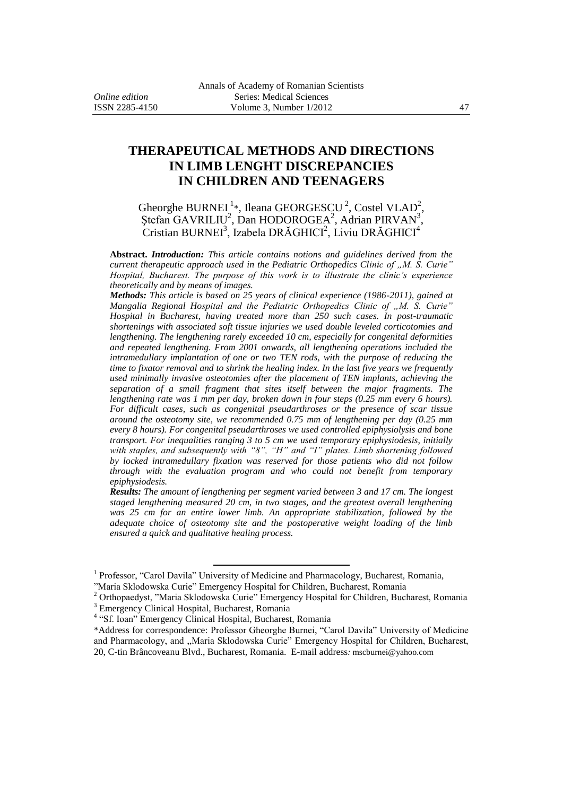# **THERAPEUTICAL METHODS AND DIRECTIONS IN LIMB LENGHT DISCREPANCIES IN CHILDREN AND TEENAGERS**

Gheorghe BURNEI<sup>1</sup>\*, Ileana GEORGESCU<sup>2</sup>, Costel VLAD<sup>2</sup>,  $\frac{1}{2}$ \$tefan GAVRILIU<sup>2</sup>, Dan HODOROGEA<sup>2</sup>, Adrian PIRVAN<sup>3</sup> , Cristian BURNEI<sup>3</sup>, Izabela DRĂGHICI<sup>2</sup>, Liviu DRĂGHICI<sup>4</sup>

**Abstract.** *Introduction: This article contains notions and guidelines derived from the current therapeutic approach used in the Pediatric Orthopedics Clinic of "M. S. Curie" Hospital, Bucharest. The purpose of this work is to illustrate the clinic's experience theoretically and by means of images.*

*Methods: This article is based on 25 years of clinical experience (1986-2011), gained at Mangalia Regional Hospital and the Pediatric Orthopedics Clinic of "M. S. Curie" Hospital in Bucharest, having treated more than 250 such cases. In post-traumatic shortenings with associated soft tissue injuries we used double leveled corticotomies and lengthening. The lengthening rarely exceeded 10 cm, especially for congenital deformities and repeated lengthening. From 2001 onwards, all lengthening operations included the intramedullary implantation of one or two TEN rods, with the purpose of reducing the time to fixator removal and to shrink the healing index. In the last five years we frequently used minimally invasive osteotomies after the placement of TEN implants, achieving the separation of a small fragment that sites itself between the major fragments. The lengthening rate was 1 mm per day, broken down in four steps (0.25 mm every 6 hours). For difficult cases, such as congenital pseudarthroses or the presence of scar tissue around the osteotomy site, we recommended 0.75 mm of lengthening per day (0.25 mm every 8 hours). For congenital pseudarthroses we used controlled epiphysiolysis and bone transport. For inequalities ranging 3 to 5 cm we used temporary epiphysiodesis, initially with staples, and subsequently with "8", "H" and "I" plates. Limb shortening followed by locked intramedullary fixation was reserved for those patients who did not follow through with the evaluation program and who could not benefit from temporary epiphysiodesis.*

*Results: The amount of lengthening per segment varied between 3 and 17 cm. The longest staged lengthening measured 20 cm, in two stages, and the greatest overall lengthening was 25 cm for an entire lower limb. An appropriate stabilization, followed by the adequate choice of osteotomy site and the postoperative weight loading of the limb ensured a quick and qualitative healing process.*

 $\overline{a}$ 

<sup>&</sup>lt;sup>1</sup> Professor, "Carol Davila" University of Medicine and Pharmacology, Bucharest, Romania,

<sup>&</sup>quot;Maria Sklodowska Curie" Emergency Hospital for Children, Bucharest, Romania

<sup>2</sup> Orthopaedyst, "Maria Sklodowska Curie" Emergency Hospital for Children, Bucharest, Romania <sup>3</sup> Emergency Clinical Hospital, Bucharest, Romania

<sup>&</sup>lt;sup>4</sup> "Sf. Ioan" Emergency Clinical Hospital, Bucharest, Romania

<sup>\*</sup>Address for correspondence: Professor Gheorghe Burnei, "Carol Davila" University of Medicine and Pharmacology, and ,,Maria Sklodowska Curie" Emergency Hospital for Children, Bucharest, 20, C-tin Brâncoveanu Blvd., Bucharest, Romania. E-mail address*:* mscburnei@yahoo.com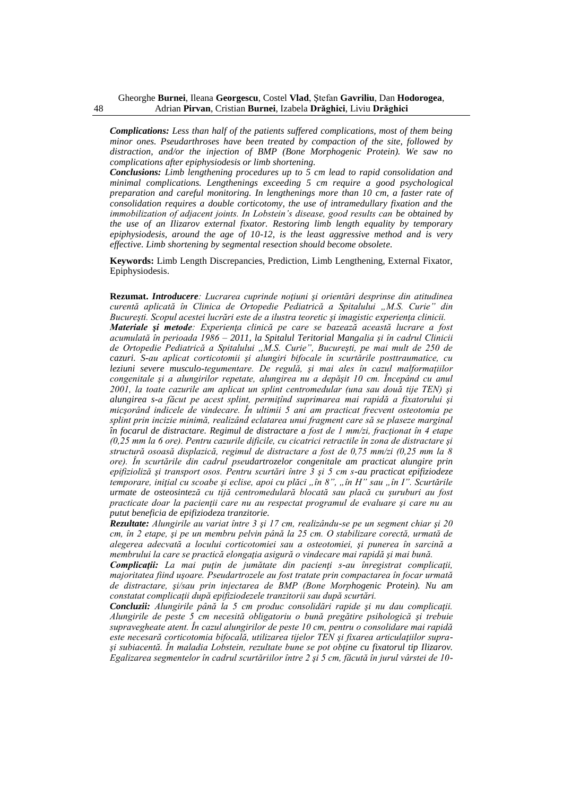*Complications: Less than half of the patients suffered complications, most of them being minor ones. Pseudarthroses have been treated by compaction of the site, followed by distraction, and/or the injection of BMP (Bone Morphogenic Protein). We saw no complications after epiphysiodesis or limb shortening.*

*Conclusions: Limb lengthening procedures up to 5 cm lead to rapid consolidation and minimal complications. Lengthenings exceeding 5 cm require a good psychological preparation and careful monitoring. In lengthenings more than 10 cm, a faster rate of consolidation requires a double corticotomy, the use of intramedullary fixation and the immobilization of adjacent joints. In Lobstein's disease, good results can be obtained by the use of an Ilizarov external fixator. Restoring limb length equality by temporary epiphysiodesis, around the age of 10-12, is the least aggressive method and is very effective. Limb shortening by segmental resection should become obsolete.*

**Keywords:** Limb Length Discrepancies, Prediction, Limb Lengthening, External Fixator, Epiphysiodesis.

**Rezumat.** *Introducere: Lucrarea cuprinde noţiuni şi orientări desprinse din atitudinea curentă aplicată în Clinica de Ortopedie Pediatrică a Spitalului "M.S. Curie" din Bucureşti. Scopul acestei lucrări este de a ilustra teoretic şi imagistic experienţa clinicii. Materiale şi metode: Experienţa clinică pe care se bazează această lucrare a fost acumulată în perioada 1986 – 2011, la Spitalul Teritorial Mangalia şi în cadrul Clinicii de Ortopedie Pediatrică a Spitalului "M.S. Curie", Bucureşti, pe mai mult de 250 de cazuri. S-au aplicat corticotomii şi alungiri bifocale în scurtările posttraumatice, cu*  leziuni severe musculo-tegumentare. De regulă, și mai ales în cazul malformatiilor *congenitale şi a alungirilor repetate, alungirea nu a depăşit 10 cm. Începând cu anul 2001, la toate cazurile am aplicat un splint centromedular (una sau două tije TEN) şi alungirea s-a făcut pe acest splint, permiţînd suprimarea mai rapidă a fixatorului şi micşorând indicele de vindecare. În ultimii 5 ani am practicat frecvent osteotomia pe splint prin incizie minimă, realizând eclatarea unui fragment care să se plaseze marginal în focarul de distractare. Regimul de distractare a fost de 1 mm/zi, fractionat în 4 etape (0,25 mm la 6 ore). Pentru cazurile dificile, cu cicatrici retractile în zona de distractare şi structură osoasă displazică, regimul de distractare a fost de 0,75 mm/zi (0,25 mm la 8 ore). În scurtările din cadrul pseudartrozelor congenitale am practicat alungire prin epifizioliză şi transport osos. Pentru scurtări între 3 şi 5 cm s-au practicat epifiziodeze temporare, iniţial cu scoabe şi eclise, apoi cu plăci "în 8", "în H" sau "în I". Scurtările urmate de osteosinteză cu tijă centromedulară blocată sau placă cu şuruburi au fost practicate doar la pacienţii care nu au respectat programul de evaluare şi care nu au putut beneficia de epifiziodeza tranzitorie.*

*Rezultate: Alungirile au variat între 3 şi 17 cm, realizându-se pe un segment chiar şi 20 cm, în 2 etape, şi pe un membru pelvin până la 25 cm. O stabilizare corectă, urmată de alegerea adecvată a locului corticotomiei sau a osteotomiei, şi punerea în sarcină a membrului la care se practică elongaţia asigură o vindecare mai rapidă şi mai bună.*

*Complicatii: La mai putin de jumătate din pacienti s-au înregistrat complicatii, majoritatea fiind uşoare. Pseudartrozele au fost tratate prin compactarea în focar urmată de distractare, şi/sau prin injectarea de BMP (Bone Morphogenic Protein). Nu am constatat complicaţii după epifiziodezele tranzitorii sau după scurtări.*

*Concluzii: Alungirile până la 5 cm produc consolidări rapide şi nu dau complicaţii. Alungirile de peste 5 cm necesită obligatoriu o bună pregătire psihologică şi trebuie supravegheate atent. În cazul alungirilor de peste 10 cm, pentru o consolidare mai rapidă este necesară corticotomia bifocală, utilizarea tijelor TEN şi fixarea articulaţiilor supraşi subiacentă. În maladia Lobstein, rezultate bune se pot obţine cu fixatorul tip Ilizarov. Egalizarea segmentelor în cadrul scurtăriilor între 2 şi 5 cm, făcută în jurul vârstei de 10-*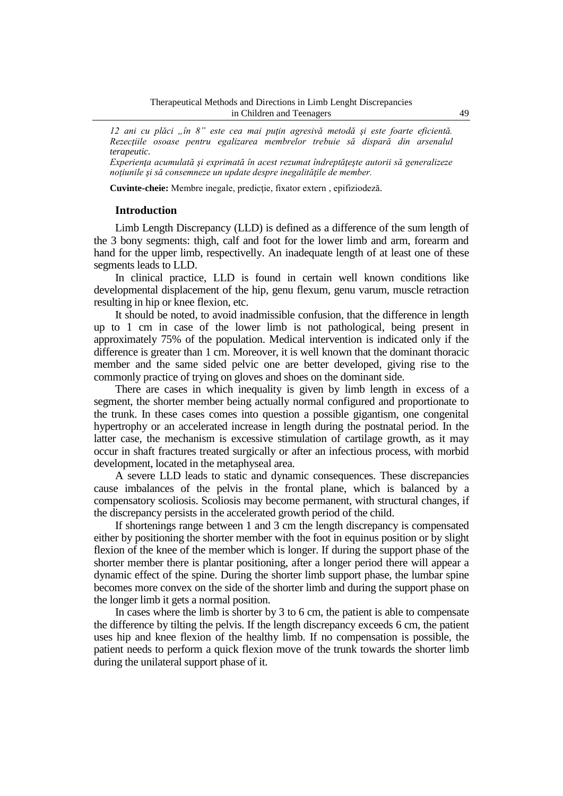*12 ani cu plăci "în 8" este cea mai puţin agresivă metodă şi este foarte eficientă. Rezecţiile osoase pentru egalizarea membrelor trebuie să dispară din arsenalul terapeutic.*

*Experienţa acumulată şi exprimată în acest rezumat îndreptăţeşte autorii să generalizeze noţiunile şi să consemneze un update despre inegalităţile de member.*

**Cuvinte-cheie:** Membre inegale, predicţie, fixator extern , epifiziodeză.

#### **Introduction**

Limb Length Discrepancy (LLD) is defined as a difference of the sum length of the 3 bony segments: thigh, calf and foot for the lower limb and arm, forearm and hand for the upper limb, respectivelly. An inadequate length of at least one of these segments leads to LLD.

In clinical practice, LLD is found in certain well known conditions like developmental displacement of the hip, genu flexum, genu varum, muscle retraction resulting in hip or knee flexion, etc.

It should be noted, to avoid inadmissible confusion, that the difference in length up to 1 cm in case of the lower limb is not pathological, being present in approximately 75% of the population. Medical intervention is indicated only if the difference is greater than 1 cm. Moreover, it is well known that the dominant thoracic member and the same sided pelvic one are better developed, giving rise to the commonly practice of trying on gloves and shoes on the dominant side.

There are cases in which inequality is given by limb length in excess of a segment, the shorter member being actually normal configured and proportionate to the trunk. In these cases comes into question a possible gigantism, one congenital hypertrophy or an accelerated increase in length during the postnatal period. In the latter case, the mechanism is excessive stimulation of cartilage growth, as it may occur in shaft fractures treated surgically or after an infectious process, with morbid development, located in the metaphyseal area.

A severe LLD leads to static and dynamic consequences. These discrepancies cause imbalances of the pelvis in the frontal plane, which is balanced by a compensatory scoliosis. Scoliosis may become permanent, with structural changes, if the discrepancy persists in the accelerated growth period of the child.

If shortenings range between 1 and 3 cm the length discrepancy is compensated either by positioning the shorter member with the foot in equinus position or by slight flexion of the knee of the member which is longer. If during the support phase of the shorter member there is plantar positioning, after a longer period there will appear a dynamic effect of the spine. During the shorter limb support phase, the lumbar spine becomes more convex on the side of the shorter limb and during the support phase on the longer limb it gets a normal position.

In cases where the limb is shorter by 3 to 6 cm, the patient is able to compensate the difference by tilting the pelvis. If the length discrepancy exceeds 6 cm, the patient uses hip and knee flexion of the healthy limb. If no compensation is possible, the patient needs to perform a quick flexion move of the trunk towards the shorter limb during the unilateral support phase of it.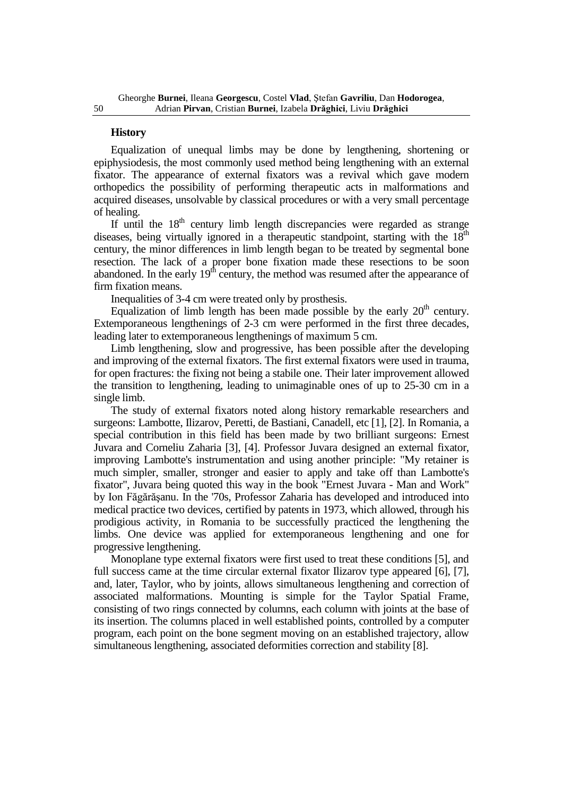#### **History**

Equalization of unequal limbs may be done by lengthening, shortening or epiphysiodesis, the most commonly used method being lengthening with an external fixator. The appearance of external fixators was a revival which gave modern orthopedics the possibility of performing therapeutic acts in malformations and acquired diseases, unsolvable by classical procedures or with a very small percentage of healing.

If until the  $18<sup>th</sup>$  century limb length discrepancies were regarded as strange diseases, being virtually ignored in a therapeutic standpoint, starting with the  $18<sup>th</sup>$ century, the minor differences in limb length began to be treated by segmental bone resection. The lack of a proper bone fixation made these resections to be soon abandoned. In the early 19th century, the method was resumed after the appearance of firm fixation means.

Inequalities of 3-4 cm were treated only by prosthesis.

Equalization of limb length has been made possible by the early  $20<sup>th</sup>$  century. Extemporaneous lengthenings of 2-3 cm were performed in the first three decades, leading later to extemporaneous lengthenings of maximum 5 cm.

Limb lengthening, slow and progressive, has been possible after the developing and improving of the external fixators. The first external fixators were used in trauma, for open fractures: the fixing not being a stabile one. Their later improvement allowed the transition to lengthening, leading to unimaginable ones of up to 25-30 cm in a single limb.

The study of external fixators noted along history remarkable researchers and surgeons: Lambotte, Ilizarov, Peretti, de Bastiani, Canadell, etc [1], [2]. In Romania, a special contribution in this field has been made by two brilliant surgeons: Ernest Juvara and Corneliu Zaharia [3], [4]. Professor Juvara designed an external fixator, improving Lambotte's instrumentation and using another principle: "My retainer is much simpler, smaller, stronger and easier to apply and take off than Lambotte's fixator", Juvara being quoted this way in the book "Ernest Juvara - Man and Work" by Ion Făgărăşanu. In the '70s, Professor Zaharia has developed and introduced into medical practice two devices, certified by patents in 1973, which allowed, through his prodigious activity, in Romania to be successfully practiced the lengthening the limbs. One device was applied for extemporaneous lengthening and one for progressive lengthening.

Monoplane type external fixators were first used to treat these conditions [5], and full success came at the time circular external fixator Ilizarov type appeared [6], [7], and, later, Taylor, who by joints, allows simultaneous lengthening and correction of associated malformations. Mounting is simple for the Taylor Spatial Frame, consisting of two rings connected by columns, each column with joints at the base of its insertion. The columns placed in well established points, controlled by a computer program, each point on the bone segment moving on an established trajectory, allow simultaneous lengthening, associated deformities correction and stability [8].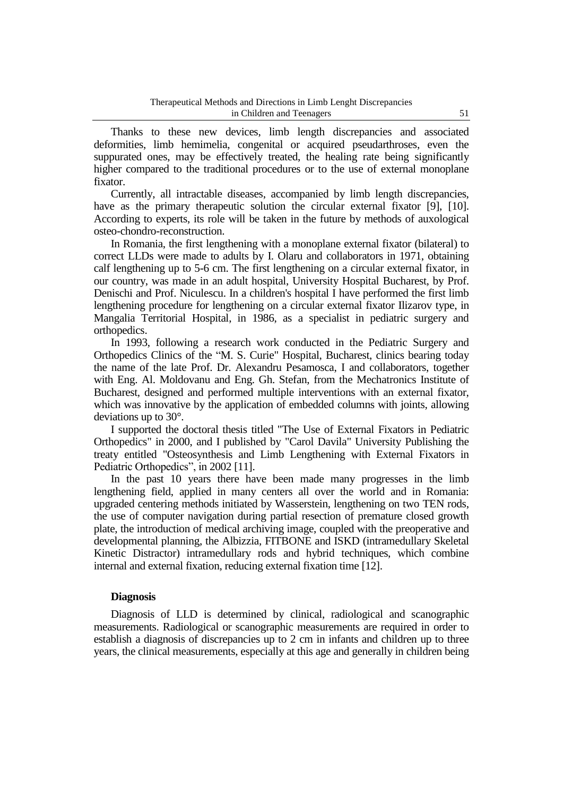Thanks to these new devices, limb length discrepancies and associated deformities, limb hemimelia, congenital or acquired pseudarthroses, even the suppurated ones, may be effectively treated, the healing rate being significantly higher compared to the traditional procedures or to the use of external monoplane fixator.

Currently, all intractable diseases, accompanied by limb length discrepancies, have as the primary therapeutic solution the circular external fixator [9], [10]. According to experts, its role will be taken in the future by methods of auxological osteo-chondro-reconstruction.

In Romania, the first lengthening with a monoplane external fixator (bilateral) to correct LLDs were made to adults by I. Olaru and collaborators in 1971, obtaining calf lengthening up to 5-6 cm. The first lengthening on a circular external fixator, in our country, was made in an adult hospital, University Hospital Bucharest, by Prof. Denischi and Prof. Niculescu. In a children's hospital I have performed the first limb lengthening procedure for lengthening on a circular external fixator Ilizarov type, in Mangalia Territorial Hospital, in 1986, as a specialist in pediatric surgery and orthopedics.

In 1993, following a research work conducted in the Pediatric Surgery and Orthopedics Clinics of the "M. S. Curie" Hospital, Bucharest, clinics bearing today the name of the late Prof. Dr. Alexandru Pesamosca, I and collaborators, together with Eng. Al. Moldovanu and Eng. Gh. Stefan, from the Mechatronics Institute of Bucharest, designed and performed multiple interventions with an external fixator, which was innovative by the application of embedded columns with joints, allowing deviations up to 30°.

I supported the doctoral thesis titled "The Use of External Fixators in Pediatric Orthopedics" in 2000, and I published by "Carol Davila" University Publishing the treaty entitled "Osteosynthesis and Limb Lengthening with External Fixators in Pediatric Orthopedics", in 2002 [11].

In the past 10 years there have been made many progresses in the limb lengthening field, applied in many centers all over the world and in Romania: upgraded centering methods initiated by Wasserstein, lengthening on two TEN rods, the use of computer navigation during partial resection of premature closed growth plate, the introduction of medical archiving image, coupled with the preoperative and developmental planning, the Albizzia, FITBONE and ISKD (intramedullary Skeletal Kinetic Distractor) intramedullary rods and hybrid techniques, which combine internal and external fixation, reducing external fixation time [12].

# **Diagnosis**

Diagnosis of LLD is determined by clinical, radiological and scanographic measurements. Radiological or scanographic measurements are required in order to establish a diagnosis of discrepancies up to 2 cm in infants and children up to three years, the clinical measurements, especially at this age and generally in children being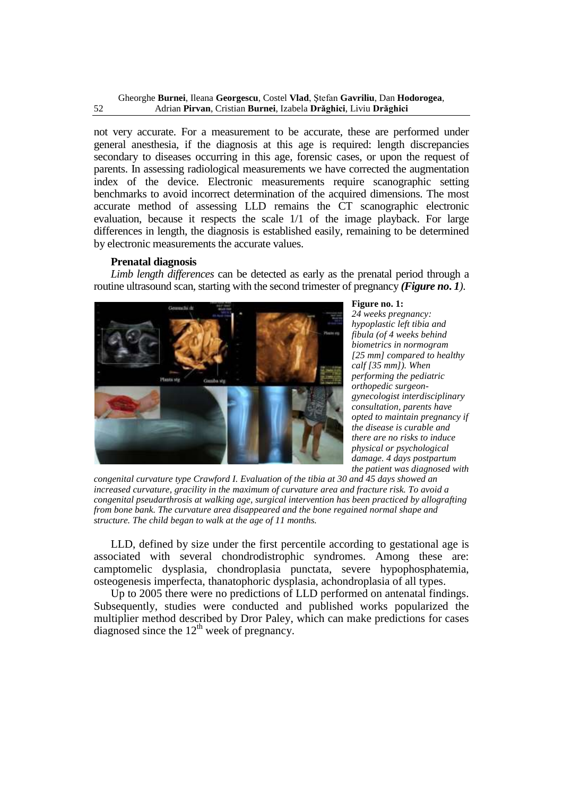not very accurate. For a measurement to be accurate, these are performed under general anesthesia, if the diagnosis at this age is required: length discrepancies secondary to diseases occurring in this age, forensic cases, or upon the request of parents. In assessing radiological measurements we have corrected the augmentation index of the device. Electronic measurements require scanographic setting benchmarks to avoid incorrect determination of the acquired dimensions. The most accurate method of assessing LLD remains the CT scanographic electronic evaluation, because it respects the scale 1/1 of the image playback. For large differences in length, the diagnosis is established easily, remaining to be determined by electronic measurements the accurate values.

#### **Prenatal diagnosis**

*Limb length differences* can be detected as early as the prenatal period through a routine ultrasound scan, starting with the second trimester of pregnancy *(Figure no***.** *1)*.



#### **Figure no. 1:**

*24 weeks pregnancy: hypoplastic left tibia and fibula (of 4 weeks behind biometrics in normogram [25 mm] compared to healthy calf [35 mm]). When performing the pediatric orthopedic surgeongynecologist interdisciplinary consultation, parents have opted to maintain pregnancy if the disease is curable and there are no risks to induce physical or psychological damage. 4 days postpartum the patient was diagnosed with* 

*congenital curvature type Crawford I. Evaluation of the tibia at 30 and 45 days showed an increased curvature, gracility in the maximum of curvature area and fracture risk. To avoid a congenital pseudarthrosis at walking age, surgical intervention has been practiced by allografting from bone bank. The curvature area disappeared and the bone regained normal shape and structure. The child began to walk at the age of 11 months.*

LLD, defined by size under the first percentile according to gestational age is associated with several chondrodistrophic syndromes. Among these are: camptomelic dysplasia, chondroplasia punctata, severe hypophosphatemia, osteogenesis imperfecta, thanatophoric dysplasia, achondroplasia of all types.

Up to 2005 there were no predictions of LLD performed on antenatal findings. Subsequently, studies were conducted and published works popularized the multiplier method described by Dror Paley, which can make predictions for cases diagnosed since the  $12<sup>th</sup>$  week of pregnancy.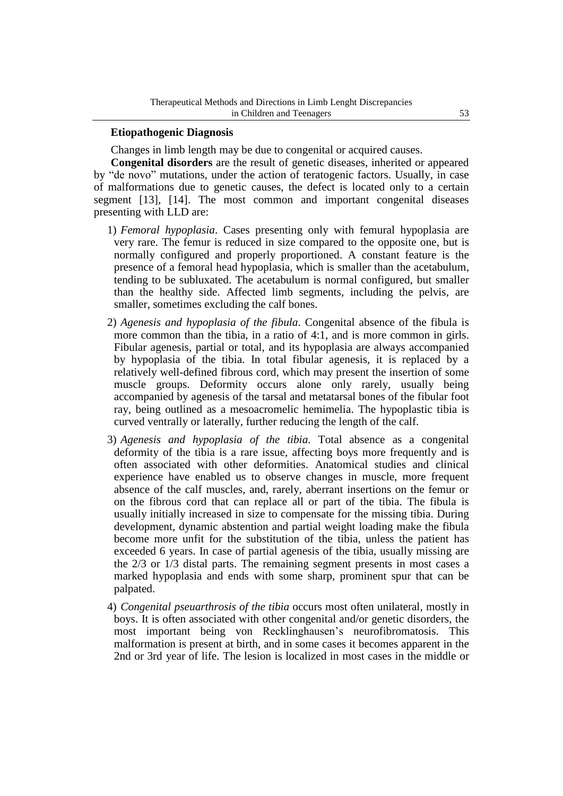## **Etiopathogenic Diagnosis**

Changes in limb length may be due to congenital or acquired causes.

**Congenital disorders** are the result of genetic diseases, inherited or appeared by "de novo" mutations, under the action of teratogenic factors. Usually, in case of malformations due to genetic causes, the defect is located only to a certain segment [13], [14]. The most common and important congenital diseases presenting with LLD are:

- 1) *Femoral hypoplasia*. Cases presenting only with femural hypoplasia are very rare. The femur is reduced in size compared to the opposite one, but is normally configured and properly proportioned. A constant feature is the presence of a femoral head hypoplasia, which is smaller than the acetabulum, tending to be subluxated. The acetabulum is normal configured, but smaller than the healthy side. Affected limb segments, including the pelvis, are smaller, sometimes excluding the calf bones.
- 2) *Agenesis and hypoplasia of the fibula*. Congenital absence of the fibula is more common than the tibia, in a ratio of 4:1, and is more common in girls. Fibular agenesis, partial or total, and its hypoplasia are always accompanied by hypoplasia of the tibia. In total fibular agenesis, it is replaced by a relatively well-defined fibrous cord, which may present the insertion of some muscle groups. Deformity occurs alone only rarely, usually being accompanied by agenesis of the tarsal and metatarsal bones of the fibular foot ray, being outlined as a mesoacromelic hemimelia. The hypoplastic tibia is curved ventrally or laterally, further reducing the length of the calf.
- 3) *Agenesis and hypoplasia of the tibia.* Total absence as a congenital deformity of the tibia is a rare issue, affecting boys more frequently and is often associated with other deformities. Anatomical studies and clinical experience have enabled us to observe changes in muscle, more frequent absence of the calf muscles, and, rarely, aberrant insertions on the femur or on the fibrous cord that can replace all or part of the tibia. The fibula is usually initially increased in size to compensate for the missing tibia. During development, dynamic abstention and partial weight loading make the fibula become more unfit for the substitution of the tibia, unless the patient has exceeded 6 years. In case of partial agenesis of the tibia, usually missing are the 2/3 or 1/3 distal parts. The remaining segment presents in most cases a marked hypoplasia and ends with some sharp, prominent spur that can be palpated.
- 4) *Congenital pseuarthrosis of the tibia* occurs most often unilateral, mostly in boys. It is often associated with other congenital and/or genetic disorders, the most important being von Recklinghausen's neurofibromatosis. This malformation is present at birth, and in some cases it becomes apparent in the 2nd or 3rd year of life. The lesion is localized in most cases in the middle or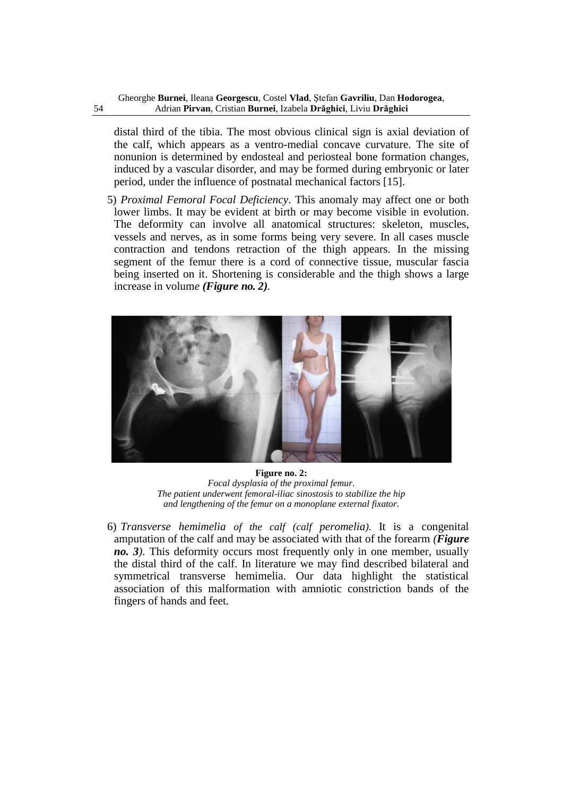distal third of the tibia. The most obvious clinical sign is axial deviation of the calf, which appears as a ventro-medial concave curvature. The site of nonunion is determined by endosteal and periosteal bone formation changes, induced by a vascular disorder, and may be formed during embryonic or later period, under the influence of postnatal mechanical factors [15].

5) *Proximal Femoral Focal Deficiency*. This anomaly may affect one or both lower limbs. It may be evident at birth or may become visible in evolution. The deformity can involve all anatomical structures: skeleton, muscles, vessels and nerves, as in some forms being very severe. In all cases muscle contraction and tendons retraction of the thigh appears. In the missing segment of the femur there is a cord of connective tissue, muscular fascia being inserted on it. Shortening is considerable and the thigh shows a large increase in volum*e (Figure no. 2).*



**Figure no. 2:** *Focal dysplasia of the proximal femur. The patient underwent femoral-iliac sinostosis to stabilize the hip and lengthening of the femur on a monoplane external fixator.*

6) *Transverse hemimelia of the calf (calf peromelia).* It is a congenital amputation of the calf and may be associated with that of the forearm *(Figure no. 3)*. This deformity occurs most frequently only in one member, usually the distal third of the calf. In literature we may find described bilateral and symmetrical transverse hemimelia. Our data highlight the statistical association of this malformation with amniotic constriction bands of the fingers of hands and feet.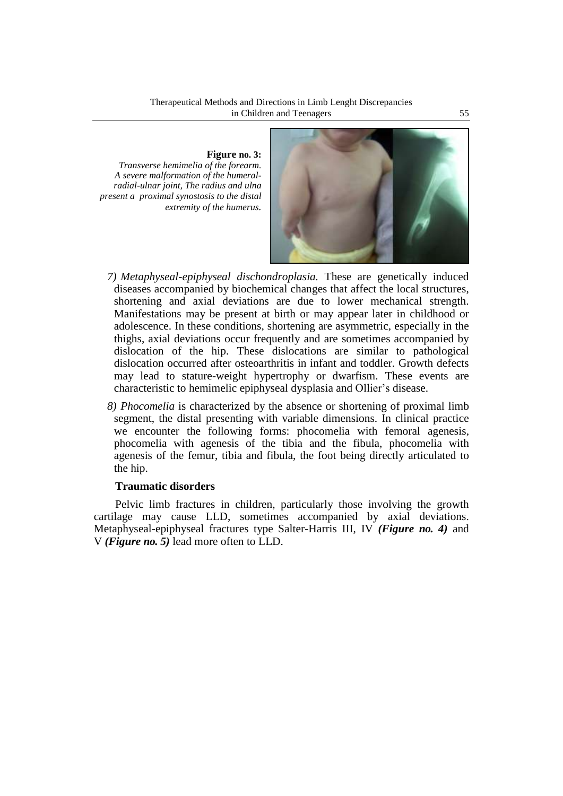**Figure no. 3:** *Transverse hemimelia of the forearm. A severe malformation of the humeralradial-ulnar joint, The radius and ulna present a proximal synostosis to the distal extremity of the humerus.*



- *7) Metaphyseal-epiphyseal dischondroplasia.* These are genetically induced diseases accompanied by biochemical changes that affect the local structures, shortening and axial deviations are due to lower mechanical strength. Manifestations may be present at birth or may appear later in childhood or adolescence. In these conditions, shortening are asymmetric, especially in the thighs, axial deviations occur frequently and are sometimes accompanied by dislocation of the hip. These dislocations are similar to pathological dislocation occurred after osteoarthritis in infant and toddler. Growth defects may lead to stature-weight hypertrophy or dwarfism. These events are characteristic to hemimelic epiphyseal dysplasia and Ollier's disease.
- *8) Phocomelia* is characterized by the absence or shortening of proximal limb segment, the distal presenting with variable dimensions. In clinical practice we encounter the following forms: phocomelia with femoral agenesis, phocomelia with agenesis of the tibia and the fibula, phocomelia with agenesis of the femur, tibia and fibula, the foot being directly articulated to the hip.

# **Traumatic disorders**

Pelvic limb fractures in children, particularly those involving the growth cartilage may cause LLD, sometimes accompanied by axial deviations. Metaphyseal-epiphyseal fractures type Salter-Harris III, IV *(Figure no. 4)* and V *(Figure no. 5)* lead more often to LLD.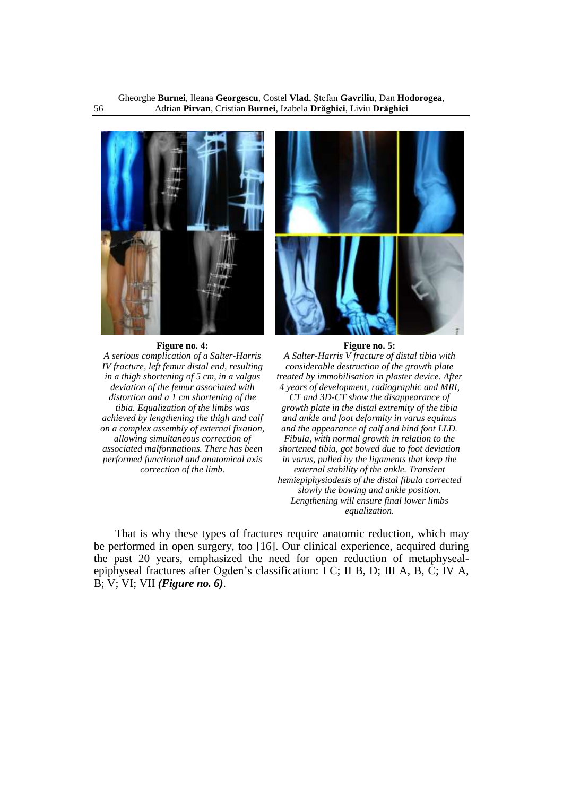

#### **Figure no. 4:**

*A serious complication of a Salter-Harris IV fracture, left femur distal end, resulting in a thigh shortening of 5 cm, in a valgus deviation of the femur associated with distortion and a 1 cm shortening of the tibia. Equalization of the limbs was achieved by lengthening the thigh and calf on a complex assembly of external fixation, allowing simultaneous correction of associated malformations. There has been performed functional and anatomical axis correction of the limb.*



#### **Figure no. 5:**

*A Salter-Harris V fracture of distal tibia with considerable destruction of the growth plate treated by immobilisation in plaster device. After 4 years of development, radiographic and MRI,* 

*CT and 3D-CT show the disappearance of growth plate in the distal extremity of the tibia and ankle and foot deformity in varus equinus and the appearance of calf and hind foot LLD. Fibula, with normal growth in relation to the shortened tibia, got bowed due to foot deviation in varus, pulled by the ligaments that keep the external stability of the ankle. Transient hemiepiphysiodesis of the distal fibula corrected slowly the bowing and ankle position. Lengthening will ensure final lower limbs equalization.*

That is why these types of fractures require anatomic reduction, which may be performed in open surgery, too [16]. Our clinical experience, acquired during the past 20 years, emphasized the need for open reduction of metaphysealepiphyseal fractures after Ogden's classification: I C; II B, D; III A, B, C; IV A, B; V; VI; VII *(Figure no. 6)*.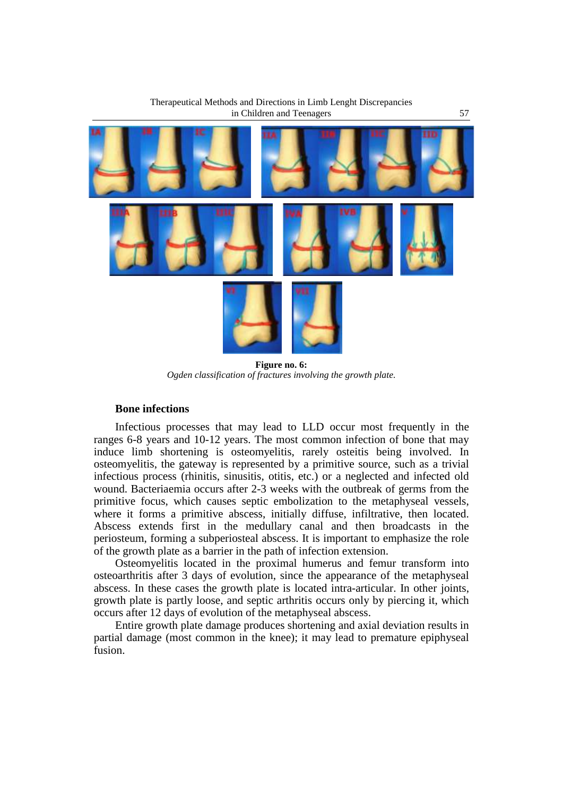

Therapeutical Methods and Directions in Limb Lenght Discrepancies

**Figure no. 6:** *Ogden classification of fractures involving the growth plate.*

# **Bone infections**

Infectious processes that may lead to LLD occur most frequently in the ranges 6-8 years and 10-12 years. The most common infection of bone that may induce limb shortening is osteomyelitis, rarely osteitis being involved. In osteomyelitis, the gateway is represented by a primitive source, such as a trivial infectious process (rhinitis, sinusitis, otitis, etc.) or a neglected and infected old wound. Bacteriaemia occurs after 2-3 weeks with the outbreak of germs from the primitive focus, which causes septic embolization to the metaphyseal vessels, where it forms a primitive abscess, initially diffuse, infiltrative, then located. Abscess extends first in the medullary canal and then broadcasts in the periosteum, forming a subperiosteal abscess. It is important to emphasize the role of the growth plate as a barrier in the path of infection extension.

Osteomyelitis located in the proximal humerus and femur transform into osteoarthritis after 3 days of evolution, since the appearance of the metaphyseal abscess. In these cases the growth plate is located intra-articular. In other joints, growth plate is partly loose, and septic arthritis occurs only by piercing it, which occurs after 12 days of evolution of the metaphyseal abscess.

Entire growth plate damage produces shortening and axial deviation results in partial damage (most common in the knee); it may lead to premature epiphyseal fusion.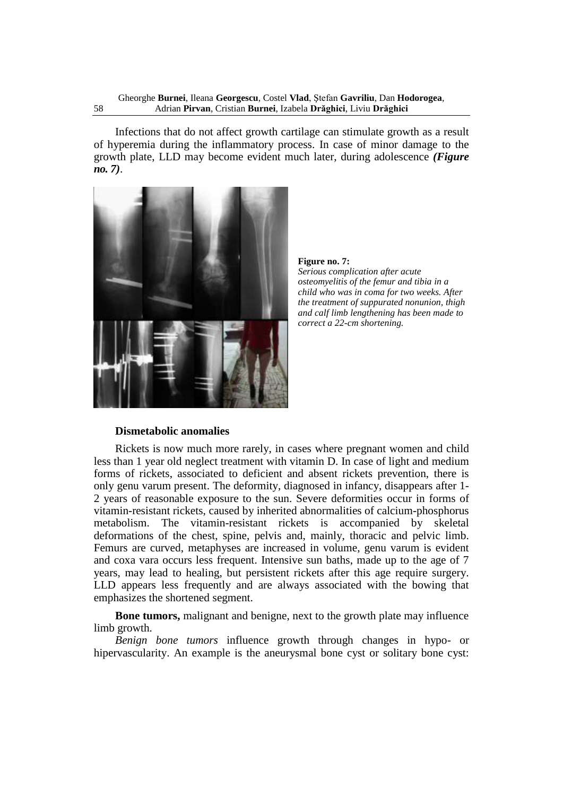Infections that do not affect growth cartilage can stimulate growth as a result of hyperemia during the inflammatory process. In case of minor damage to the growth plate, LLD may become evident much later, during adolescence *(Figure no. 7)*.



**Figure no. 7:**

*Serious complication after acute osteomyelitis of the femur and tibia in a child who was in coma for two weeks. After the treatment of suppurated nonunion, thigh and calf limb lengthening has been made to correct a 22-cm shortening.*

#### **Dismetabolic anomalies**

Rickets is now much more rarely, in cases where pregnant women and child less than 1 year old neglect treatment with vitamin D. In case of light and medium forms of rickets, associated to deficient and absent rickets prevention, there is only genu varum present. The deformity, diagnosed in infancy, disappears after 1- 2 years of reasonable exposure to the sun. Severe deformities occur in forms of vitamin-resistant rickets, caused by inherited abnormalities of calcium-phosphorus metabolism. The vitamin-resistant rickets is accompanied by skeletal deformations of the chest, spine, pelvis and, mainly, thoracic and pelvic limb. Femurs are curved, metaphyses are increased in volume, genu varum is evident and coxa vara occurs less frequent. Intensive sun baths, made up to the age of 7 years, may lead to healing, but persistent rickets after this age require surgery. LLD appears less frequently and are always associated with the bowing that emphasizes the shortened segment.

**Bone tumors,** malignant and benigne, next to the growth plate may influence limb growth.

*Benign bone tumors* influence growth through changes in hypo- or hipervascularity. An example is the aneurysmal bone cyst or solitary bone cyst: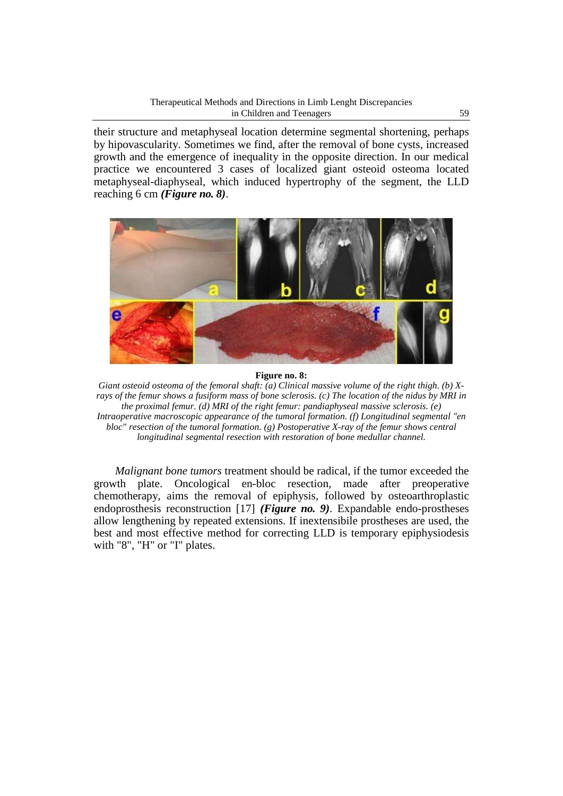their structure and metaphyseal location determine segmental shortening, perhaps by hipovascularity. Sometimes we find, after the removal of bone cysts, increased growth and the emergence of inequality in the opposite direction. In our medical practice we encountered 3 cases of localized giant osteoid osteoma located metaphyseal-diaphyseal, which induced hypertrophy of the segment, the LLD reaching 6 cm *(Figure no. 8)*.



#### **Figure no. 8:**

*Giant osteoid osteoma of the femoral shaft: (a) Clinical massive volume of the right thigh. (b) Xrays of the femur shows a fusiform mass of bone sclerosis. (c) The location of the nidus by MRI in the proximal femur. (d) MRI of the right femur: pandiaphyseal massive sclerosis. (e) Intraoperative macroscopic appearance of the tumoral formation. (f) Longitudinal segmental "en bloc" resection of the tumoral formation. (g) Postoperative X-ray of the femur shows central longitudinal segmental resection with restoration of bone medullar channel.*

*Malignant bone tumors* treatment should be radical, if the tumor exceeded the growth plate. Oncological en-bloc resection, made after preoperative chemotherapy, aims the removal of epiphysis, followed by osteoarthroplastic endoprosthesis reconstruction [17] *(Figure no. 9)*. Expandable endo-prostheses allow lengthening by repeated extensions. If inextensibile prostheses are used, the best and most effective method for correcting LLD is temporary epiphysiodesis with "8", "H" or "I" plates.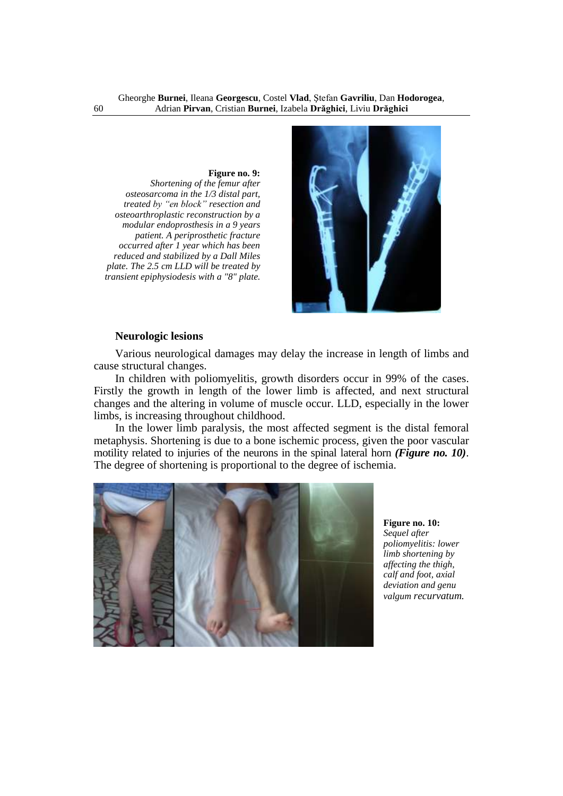**Figure no. 9:**

*Shortening of the femur after osteosarcoma in the 1/3 distal part, treated by "en block" resection and osteoarthroplastic reconstruction by a modular endoprosthesis in a 9 years patient. A periprosthetic fracture occurred after 1 year which has been reduced and stabilized by a Dall Miles plate. The 2.5 cm LLD will be treated by transient epiphysiodesis with a "8" plate.*



#### **Neurologic lesions**

Various neurological damages may delay the increase in length of limbs and cause structural changes.

In children with poliomyelitis, growth disorders occur in 99% of the cases. Firstly the growth in length of the lower limb is affected, and next structural changes and the altering in volume of muscle occur. LLD, especially in the lower limbs, is increasing throughout childhood.

In the lower limb paralysis, the most affected segment is the distal femoral metaphysis. Shortening is due to a bone ischemic process, given the poor vascular motility related to injuries of the neurons in the spinal lateral horn *(Figure no. 10)*. The degree of shortening is proportional to the degree of ischemia.



**Figure no. 10:** *Sequel after poliomyelitis: lower limb shortening by affecting the thigh, calf and foot, axial deviation and genu valgum recurvatum.*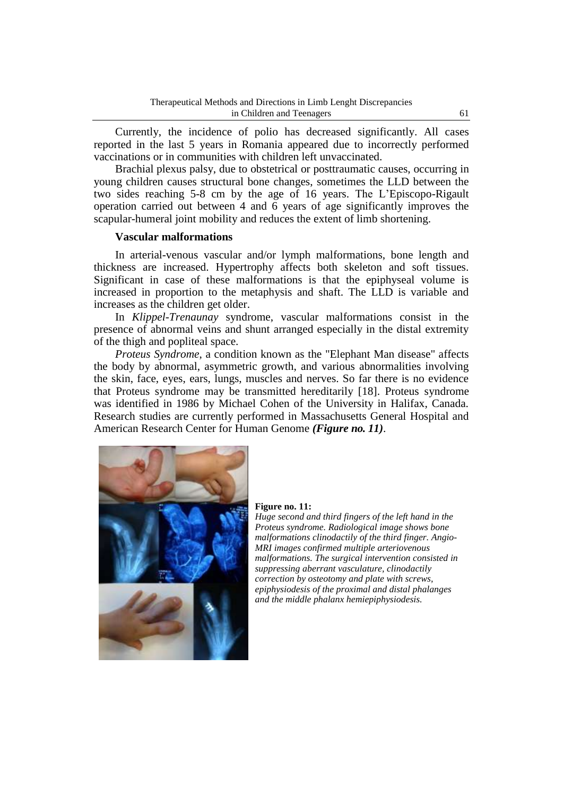Currently, the incidence of polio has decreased significantly. All cases reported in the last 5 years in Romania appeared due to incorrectly performed vaccinations or in communities with children left unvaccinated.

Brachial plexus palsy, due to obstetrical or posttraumatic causes, occurring in young children causes structural bone changes, sometimes the LLD between the two sides reaching 5-8 cm by the age of 16 years. The L'Episcopo-Rigault operation carried out between 4 and 6 years of age significantly improves the scapular-humeral joint mobility and reduces the extent of limb shortening.

#### **Vascular malformations**

In arterial-venous vascular and/or lymph malformations, bone length and thickness are increased. Hypertrophy affects both skeleton and soft tissues. Significant in case of these malformations is that the epiphyseal volume is increased in proportion to the metaphysis and shaft. The LLD is variable and increases as the children get older.

In *Klippel-Trenaunay* syndrome, vascular malformations consist in the presence of abnormal veins and shunt arranged especially in the distal extremity of the thigh and popliteal space.

*Proteus Syndrome*, a condition known as the "Elephant Man disease" affects the body by abnormal, asymmetric growth, and various abnormalities involving the skin, face, eyes, ears, lungs, muscles and nerves. So far there is no evidence that Proteus syndrome may be transmitted hereditarily [18]. Proteus syndrome was identified in 1986 by Michael Cohen of the University in Halifax, Canada. Research studies are currently performed in Massachusetts General Hospital and American Research Center for Human Genome *(Figure no. 11)*.



#### **Figure no. 11:**

*Huge second and third fingers of the left hand in the Proteus syndrome. Radiological image shows bone malformations clinodactily of the third finger. Angio-MRI images confirmed multiple arteriovenous malformations. The surgical intervention consisted in suppressing aberrant vasculature, clinodactily correction by osteotomy and plate with screws, epiphysiodesis of the proximal and distal phalanges and the middle phalanx hemiepiphysiodesis.*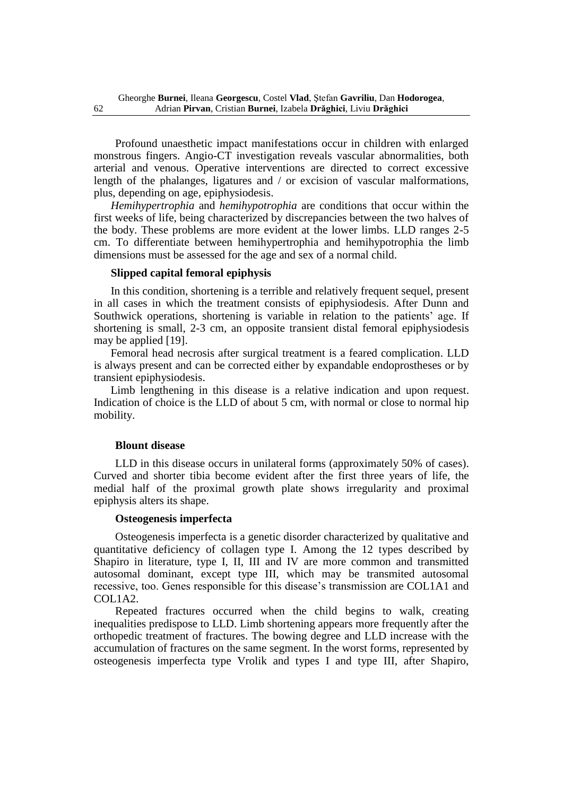Profound unaesthetic impact manifestations occur in children with enlarged monstrous fingers. Angio-CT investigation reveals vascular abnormalities, both arterial and venous. Operative interventions are directed to correct excessive length of the phalanges, ligatures and / or excision of vascular malformations, plus, depending on age, epiphysiodesis.

*Hemihypertrophia* and *hemihypotrophia* are conditions that occur within the first weeks of life, being characterized by discrepancies between the two halves of the body. These problems are more evident at the lower limbs. LLD ranges 2-5 cm. To differentiate between hemihypertrophia and hemihypotrophia the limb dimensions must be assessed for the age and sex of a normal child.

#### **Slipped capital femoral epiphysis**

In this condition, shortening is a terrible and relatively frequent sequel, present in all cases in which the treatment consists of epiphysiodesis. After Dunn and Southwick operations, shortening is variable in relation to the patients' age. If shortening is small, 2-3 cm, an opposite transient distal femoral epiphysiodesis may be applied [19].

Femoral head necrosis after surgical treatment is a feared complication. LLD is always present and can be corrected either by expandable endoprostheses or by transient epiphysiodesis.

Limb lengthening in this disease is a relative indication and upon request. Indication of choice is the LLD of about 5 cm, with normal or close to normal hip mobility.

#### **Blount disease**

LLD in this disease occurs in unilateral forms (approximately 50% of cases). Curved and shorter tibia become evident after the first three years of life, the medial half of the proximal growth plate shows irregularity and proximal epiphysis alters its shape.

#### **Osteogenesis imperfecta**

Osteogenesis imperfecta is a genetic disorder characterized by qualitative and quantitative deficiency of collagen type I. Among the 12 types described by Shapiro in literature, type I, II, III and IV are more common and transmitted autosomal dominant, except type III, which may be transmited autosomal recessive, too. Genes responsible for this disease's transmission are COL1A1 and COL1A2.

Repeated fractures occurred when the child begins to walk, creating inequalities predispose to LLD. Limb shortening appears more frequently after the orthopedic treatment of fractures. The bowing degree and LLD increase with the accumulation of fractures on the same segment. In the worst forms, represented by osteogenesis imperfecta type Vrolik and types I and type III, after Shapiro,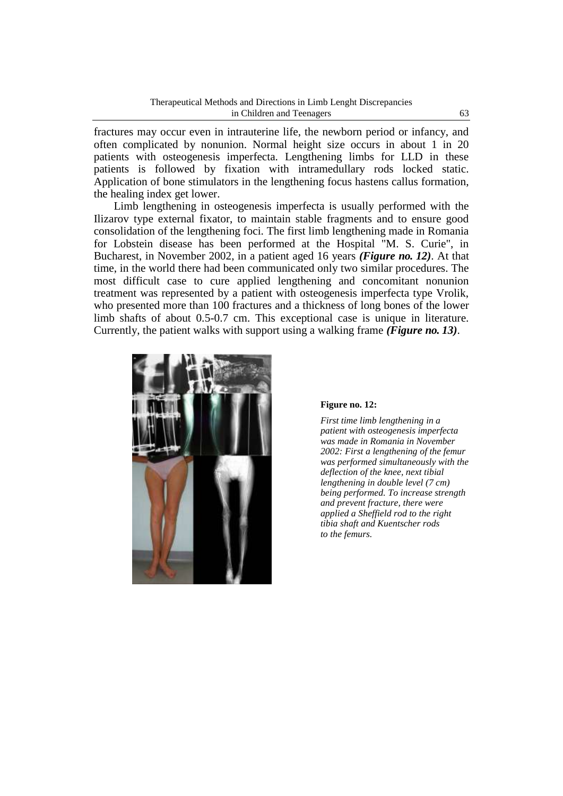fractures may occur even in intrauterine life, the newborn period or infancy, and often complicated by nonunion. Normal height size occurs in about 1 in 20 patients with osteogenesis imperfecta. Lengthening limbs for LLD in these patients is followed by fixation with intramedullary rods locked static. Application of bone stimulators in the lengthening focus hastens callus formation, the healing index get lower.

Limb lengthening in osteogenesis imperfecta is usually performed with the Ilizarov type external fixator, to maintain stable fragments and to ensure good consolidation of the lengthening foci. The first limb lengthening made in Romania for Lobstein disease has been performed at the Hospital "M. S. Curie", in Bucharest, in November 2002, in a patient aged 16 years *(Figure no. 12)*. At that time, in the world there had been communicated only two similar procedures. The most difficult case to cure applied lengthening and concomitant nonunion treatment was represented by a patient with osteogenesis imperfecta type Vrolik, who presented more than 100 fractures and a thickness of long bones of the lower limb shafts of about 0.5-0.7 cm. This exceptional case is unique in literature. Currently, the patient walks with support using a walking frame *(Figure no. 13)*.



#### **Figure no. 12:**

*First time limb lengthening in a patient with osteogenesis imperfecta was made in Romania in November 2002: First a lengthening of the femur was performed simultaneously with the deflection of the knee, next tibial lengthening in double level (7 cm) being performed. To increase strength and prevent fracture, there were applied a Sheffield rod to the right tibia shaft and Kuentscher rods to the femurs.*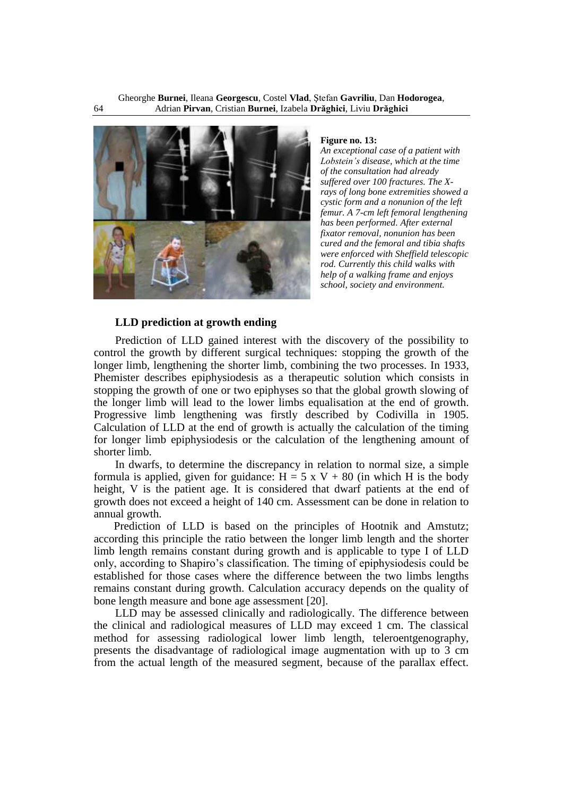

**Figure no. 13:**

*An exceptional case of a patient with Lobstein's disease, which at the time of the consultation had already suffered over 100 fractures. The Xrays of long bone extremities showed a cystic form and a nonunion of the left femur. A 7-cm left femoral lengthening has been performed. After external fixator removal, nonunion has been cured and the femoral and tibia shafts were enforced with Sheffield telescopic rod. Currently this child walks with help of a walking frame and enjoys school, society and environment.*

#### **LLD prediction at growth ending**

Prediction of LLD gained interest with the discovery of the possibility to control the growth by different surgical techniques: stopping the growth of the longer limb, lengthening the shorter limb, combining the two processes. In 1933, Phemister describes epiphysiodesis as a therapeutic solution which consists in stopping the growth of one or two epiphyses so that the global growth slowing of the longer limb will lead to the lower limbs equalisation at the end of growth. Progressive limb lengthening was firstly described by Codivilla in 1905. Calculation of LLD at the end of growth is actually the calculation of the timing for longer limb epiphysiodesis or the calculation of the lengthening amount of shorter limb.

In dwarfs, to determine the discrepancy in relation to normal size, a simple formula is applied, given for guidance:  $H = 5 \times V + 80$  (in which H is the body height, V is the patient age. It is considered that dwarf patients at the end of growth does not exceed a height of 140 cm. Assessment can be done in relation to annual growth.

Prediction of LLD is based on the principles of Hootnik and Amstutz; according this principle the ratio between the longer limb length and the shorter limb length remains constant during growth and is applicable to type I of LLD only, according to Shapiro's classification. The timing of epiphysiodesis could be established for those cases where the difference between the two limbs lengths remains constant during growth. Calculation accuracy depends on the quality of bone length measure and bone age assessment [20].

LLD may be assessed clinically and radiologically. The difference between the clinical and radiological measures of LLD may exceed 1 cm. The classical method for assessing radiological lower limb length, teleroentgenography, presents the disadvantage of radiological image augmentation with up to 3 cm from the actual length of the measured segment, because of the parallax effect.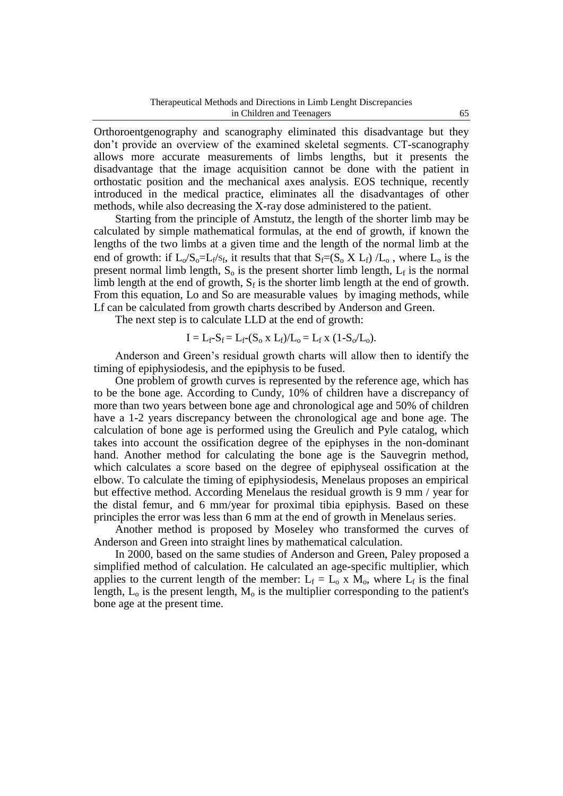Orthoroentgenography and scanography eliminated this disadvantage but they don't provide an overview of the examined skeletal segments. CT-scanography allows more accurate measurements of limbs lengths, but it presents the disadvantage that the image acquisition cannot be done with the patient in orthostatic position and the mechanical axes analysis. EOS technique, recently introduced in the medical practice, eliminates all the disadvantages of other methods, while also decreasing the X-ray dose administered to the patient.

Starting from the principle of Amstutz, the length of the shorter limb may be calculated by simple mathematical formulas, at the end of growth, if known the lengths of the two limbs at a given time and the length of the normal limb at the end of growth: if  $L_0/S_0=L_f/s_f$ , it results that that  $S_f=(S_0 X L_f)/L_0$ , where  $L_0$  is the present normal limb length,  $S_0$  is the present shorter limb length,  $L_f$  is the normal limb length at the end of growth,  $S_f$  is the shorter limb length at the end of growth. From this equation, Lo and So are measurable values by imaging methods, while Lf can be calculated from growth charts described by Anderson and Green.

The next step is to calculate LLD at the end of growth:

$$
I = L_f - S_f = L_f - (S_o \times L_f) / L_o = L_f \times (1 - S_o / L_o).
$$

Anderson and Green's residual growth charts will allow then to identify the timing of epiphysiodesis, and the epiphysis to be fused.

One problem of growth curves is represented by the reference age, which has to be the bone age. According to Cundy, 10% of children have a discrepancy of more than two years between bone age and chronological age and 50% of children have a 1-2 years discrepancy between the chronological age and bone age. The calculation of bone age is performed using the Greulich and Pyle catalog, which takes into account the ossification degree of the epiphyses in the non-dominant hand. Another method for calculating the bone age is the Sauvegrin method, which calculates a score based on the degree of epiphyseal ossification at the elbow. To calculate the timing of epiphysiodesis, Menelaus proposes an empirical but effective method. According Menelaus the residual growth is 9 mm / year for the distal femur, and 6 mm/year for proximal tibia epiphysis. Based on these principles the error was less than 6 mm at the end of growth in Menelaus series.

Another method is proposed by Moseley who transformed the curves of Anderson and Green into straight lines by mathematical calculation.

In 2000, based on the same studies of Anderson and Green, Paley proposed a simplified method of calculation. He calculated an age-specific multiplier, which applies to the current length of the member:  $L_f = L_0 x M_0$ , where  $L_f$  is the final length,  $L_0$  is the present length,  $M_0$  is the multiplier corresponding to the patient's bone age at the present time.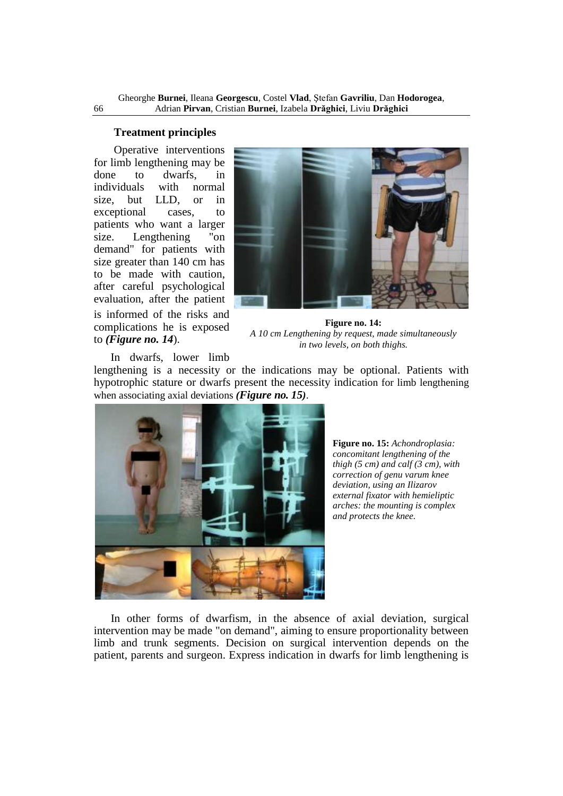# **Treatment principles**

Operative interventions for limb lengthening may be done to dwarfs, in<br>individuals with normal individuals with normal size, but LLD, or in exceptional cases, to patients who want a larger size. Lengthening "on demand" for patients with size greater than 140 cm has to be made with caution, after careful psychological evaluation, after the patient is informed of the risks and complications he is exposed to *(Figure no. 14*).



**Figure no. 14:** *A 10 cm Lengthening by request, made simultaneously in two levels, on both thighs.*

In dwarfs, lower limb

lengthening is a necessity or the indications may be optional. Patients with hypotrophic stature or dwarfs present the necessity indication for limb lengthening when associating axial deviations *(Figure no. 15)*.



**Figure no. 15:** *Achondroplasia: concomitant lengthening of the thigh (5 cm) and calf (3 cm), with correction of genu varum knee deviation, using an Ilizarov external fixator with hemieliptic arches: the mounting is complex and protects the knee.*

In other forms of dwarfism, in the absence of axial deviation, surgical intervention may be made "on demand", aiming to ensure proportionality between limb and trunk segments. Decision on surgical intervention depends on the patient, parents and surgeon. Express indication in dwarfs for limb lengthening is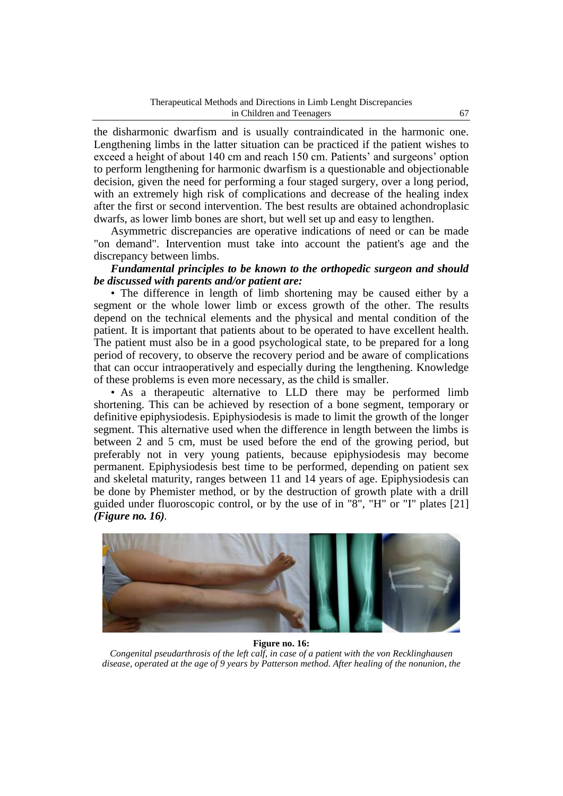the disharmonic dwarfism and is usually contraindicated in the harmonic one. Lengthening limbs in the latter situation can be practiced if the patient wishes to exceed a height of about 140 cm and reach 150 cm. Patients' and surgeons' option to perform lengthening for harmonic dwarfism is a questionable and objectionable decision, given the need for performing a four staged surgery, over a long period, with an extremely high risk of complications and decrease of the healing index after the first or second intervention. The best results are obtained achondroplasic dwarfs, as lower limb bones are short, but well set up and easy to lengthen.

Asymmetric discrepancies are operative indications of need or can be made "on demand". Intervention must take into account the patient's age and the discrepancy between limbs.

# *Fundamental principles to be known to the orthopedic surgeon and should be discussed with parents and/or patient are:*

• The difference in length of limb shortening may be caused either by a segment or the whole lower limb or excess growth of the other. The results depend on the technical elements and the physical and mental condition of the patient. It is important that patients about to be operated to have excellent health. The patient must also be in a good psychological state, to be prepared for a long period of recovery, to observe the recovery period and be aware of complications that can occur intraoperatively and especially during the lengthening. Knowledge of these problems is even more necessary, as the child is smaller.

• As a therapeutic alternative to LLD there may be performed limb shortening. This can be achieved by resection of a bone segment, temporary or definitive epiphysiodesis. Epiphysiodesis is made to limit the growth of the longer segment. This alternative used when the difference in length between the limbs is between 2 and 5 cm, must be used before the end of the growing period, but preferably not in very young patients, because epiphysiodesis may become permanent. Epiphysiodesis best time to be performed, depending on patient sex and skeletal maturity, ranges between 11 and 14 years of age. Epiphysiodesis can be done by Phemister method, or by the destruction of growth plate with a drill guided under fluoroscopic control, or by the use of in "8", "H" or "I" plates [21] *(Figure no. 16).*



#### **Figure no. 16:**

*Congenital pseudarthrosis of the left calf, in case of a patient with the von Recklinghausen disease, operated at the age of 9 years by Patterson method. After healing of the nonunion, the*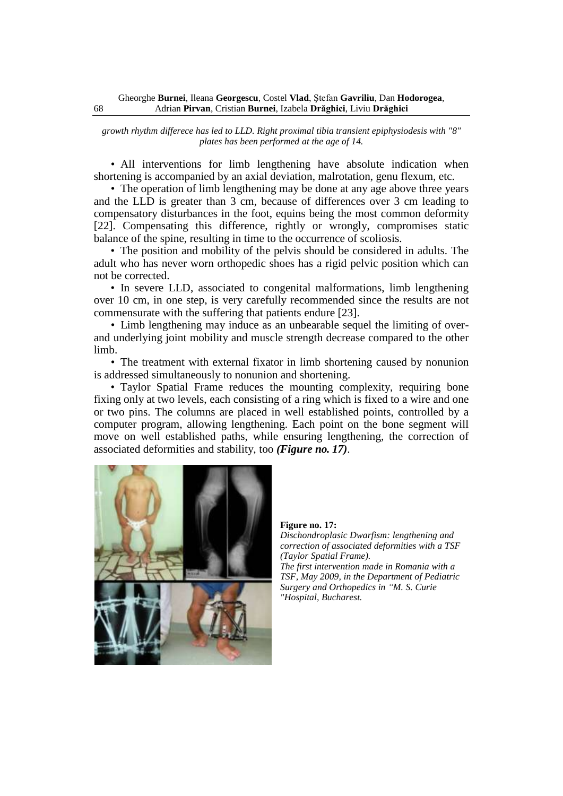*growth rhythm differece has led to LLD. Right proximal tibia transient epiphysiodesis with "8" plates has been performed at the age of 14.*

• All interventions for limb lengthening have absolute indication when shortening is accompanied by an axial deviation, malrotation, genu flexum, etc.

• The operation of limb lengthening may be done at any age above three years and the LLD is greater than 3 cm, because of differences over 3 cm leading to compensatory disturbances in the foot, equins being the most common deformity [22]. Compensating this difference, rightly or wrongly, compromises static balance of the spine, resulting in time to the occurrence of scoliosis.

• The position and mobility of the pelvis should be considered in adults. The adult who has never worn orthopedic shoes has a rigid pelvic position which can not be corrected.

• In severe LLD, associated to congenital malformations, limb lengthening over 10 cm, in one step, is very carefully recommended since the results are not commensurate with the suffering that patients endure [23].

• Limb lengthening may induce as an unbearable sequel the limiting of overand underlying joint mobility and muscle strength decrease compared to the other limb.

• The treatment with external fixator in limb shortening caused by nonunion is addressed simultaneously to nonunion and shortening.

• Taylor Spatial Frame reduces the mounting complexity, requiring bone fixing only at two levels, each consisting of a ring which is fixed to a wire and one or two pins. The columns are placed in well established points, controlled by a computer program, allowing lengthening. Each point on the bone segment will move on well established paths, while ensuring lengthening, the correction of associated deformities and stability, too *(Figure no. 17)*.



**Figure no. 17:** *Dischondroplasic Dwarfism: lengthening and correction of associated deformities with a TSF (Taylor Spatial Frame). The first intervention made in Romania with a TSF, May 2009, in the Department of Pediatric Surgery and Orthopedics in "M. S. Curie "Hospital, Bucharest.*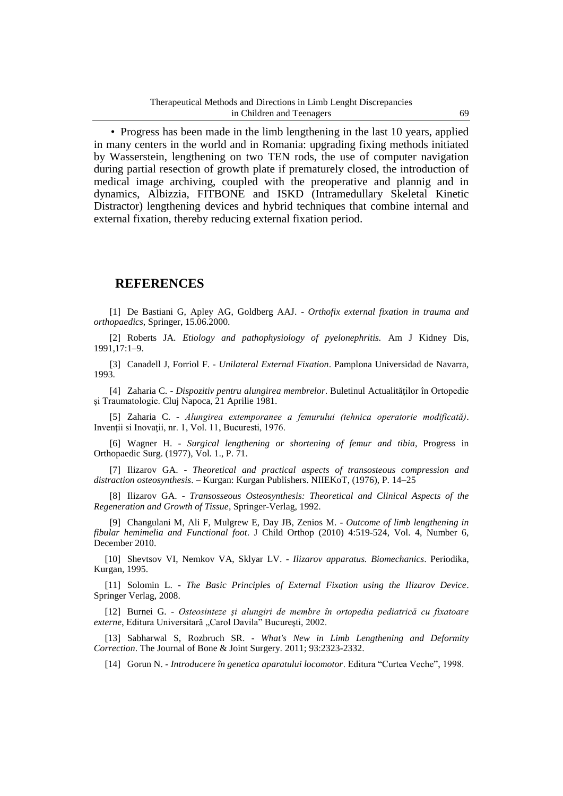• Progress has been made in the limb lengthening in the last 10 years, applied in many centers in the world and in Romania: upgrading fixing methods initiated by Wasserstein, lengthening on two TEN rods, the use of computer navigation during partial resection of growth plate if prematurely closed, the introduction of medical image archiving, coupled with the preoperative and plannig and in dynamics, Albizzia, FITBONE and ISKD (Intramedullary Skeletal Kinetic Distractor) lengthening devices and hybrid techniques that combine internal and external fixation, thereby reducing external fixation period.

# **REFERENCES**

[1] De Bastiani G, Apley AG, Goldberg AAJ. - *Orthofix external fixation in trauma and orthopaedics,* Springer, 15.06.2000.

[2] Roberts JA. *Etiology and pathophysiology of pyelonephritis.* Am J Kidney Dis, 1991,17:1–9.

[3] Canadell J, Forriol F. - *Unilateral External Fixation*. Pamplona Universidad de Navarra, 1993.

[4] Zaharia C. - *Dispozitiv pentru alungirea membrelor*. Buletinul Actualităţilor în Ortopedie şi Traumatologie. Cluj Napoca, 21 Aprilie 1981.

[5] Zaharia C. - *Alungirea extemporanee a femurului (tehnica operatorie modificată)*. Invenţii si Inovaţii, nr. 1, Vol. 11, Bucuresti, 1976.

[6] Wagner H. - *Surgical lengthening or shortening of femur and tibia*, Progress in Orthopaedic Surg. (1977), Vol. 1., P. 71.

[7] Ilizarov GA. - *Theoretical and practical aspects of transosteous compression and distraction osteosynthesis*. – Kurgan: Kurgan Publishers. NIIEKoT, (1976), P. 14–25

[8] Ilizarov GA. - *Transosseous Osteosynthesis: Theoretical and Clinical Aspects of the Regeneration and Growth of Tissue*, Springer-Verlag, 1992.

[9] Changulani M, Ali F, Mulgrew E, Day JB, Zenios M. - *Outcome of limb lengthening in fibular hemimelia and Functional foot*. J Child Orthop (2010) 4:519-524, Vol. 4, Number 6, December 2010.

[10] Shevtsov VI, Nemkov VA, Sklyar LV. - *Ilizarov apparatus. Biomechanics*. Periodika, Kurgan, 1995.

[11] Solomin L. - *The Basic Principles of External Fixation using the Ilizarov Device*. Springer Verlag, 2008.

[12] Burnei G. - *Osteosinteze şi alungiri de membre în ortopedia pediatrică cu fixatoare externe*, Editura Universitară "Carol Davila" București, 2002.

[13] Sabharwal S, Rozbruch SR. - *What's New in Limb Lengthening and Deformity Correction*. The Journal of Bone & Joint Surgery. 2011; 93:2323-2332.

[14] Gorun N. - *Introducere în genetica aparatului locomotor*. Editura "Curtea Veche", 1998.